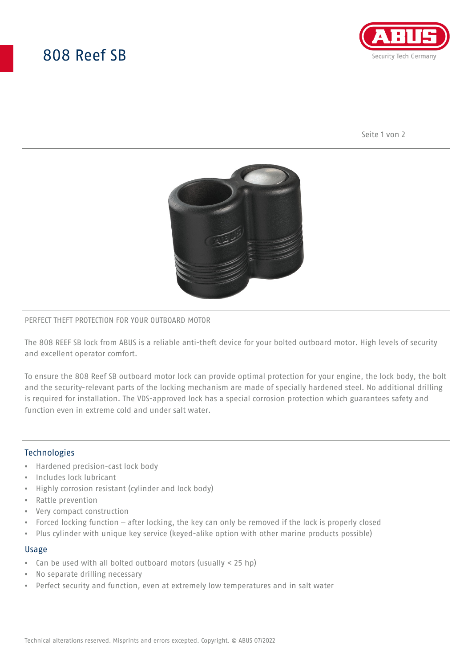# 808 Reef SB



Seite 1 von 2



#### PERFECT THEFT PROTECTION FOR YOUR OUTBOARD MOTOR

The 808 REEF SB lock from ABUS is a reliable anti-theft device for your bolted outboard motor. High levels of security and excellent operator comfort.

To ensure the 808 Reef SB outboard motor lock can provide optimal protection for your engine, the lock body, the bolt and the security-relevant parts of the locking mechanism are made of specially hardened steel. No additional drilling is required for installation. The VDS-approved lock has a special corrosion protection which guarantees safety and function even in extreme cold and under salt water.

## Technologies

- Hardened precision-cast lock body
- Includes lock lubricant
- Highly corrosion resistant (cylinder and lock body)
- Rattle prevention
- Very compact construction
- Forced locking function after locking, the key can only be removed if the lock is properly closed
- Plus cylinder with unique key service (keyed-alike option with other marine products possible)

#### Usage

- Can be used with all bolted outboard motors (usually < 25 hp)
- No separate drilling necessary
- Perfect security and function, even at extremely low temperatures and in salt water